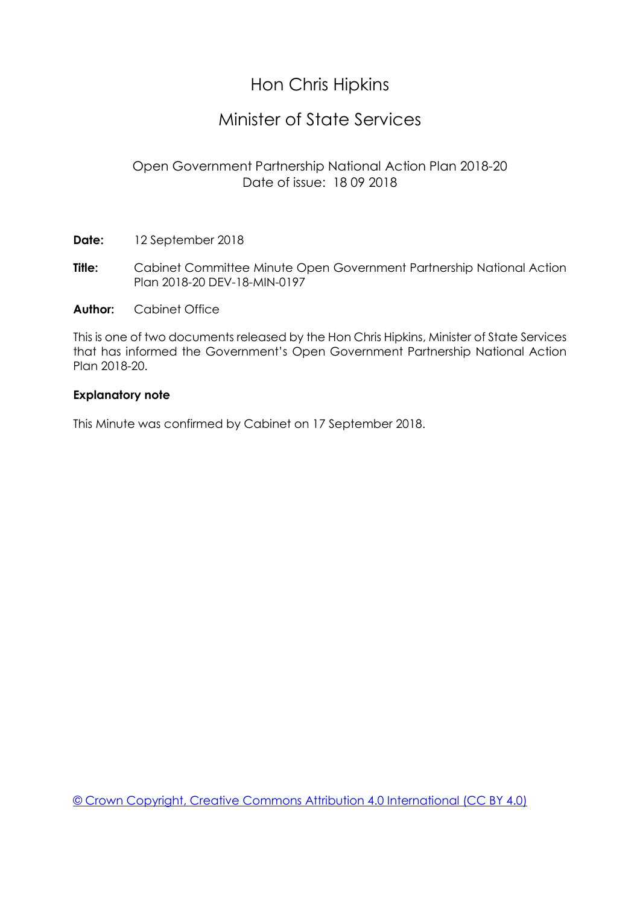# Hon Chris Hipkins

## Minister of State Services

### Open Government Partnership National Action Plan 2018-20 Date of issue: 18 09 2018

**Date:** 12 September 2018

**Title:** Cabinet Committee Minute Open Government Partnership National Action Plan 2018-20 DEV-18-MIN-0197

**Author:** Cabinet Office

This is one of two documents released by the Hon Chris Hipkins, Minister of State Services that has informed the Government's Open Government Partnership National Action Plan 2018-20.

#### **Explanatory note**

This Minute was confirmed by Cabinet on 17 September 2018.

[© Crown Copyright, Creative Commons Attribution 4.0 International \(CC BY 4.0\)](https://creativecommons.org/licenses/by/4.0/)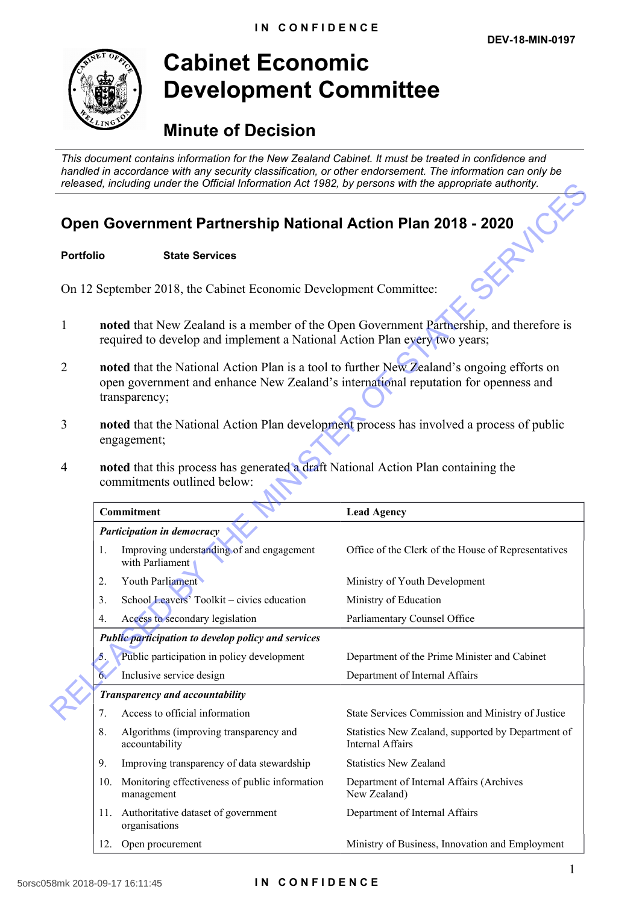

# **Cabinet Economic Development Committee**

# **Minute of Decision**

*This document contains information for the New Zealand Cabinet. It must be treated in confidence and handled in accordance with any security classification, or other endorsement. The information can only be released, including under the Official Information Act 1982, by persons with the appropriate authority.*

# **Open Government Partnership National Action Plan 2018 - 2020**<br>Portfolio State Services

#### **Portfolio State Services**

- 1 **noted** that New Zealand is a member of the Open Government Partnership, and therefore is required to develop and implement a National Action Plan every two years;
- 2 **noted** that the National Action Plan is a tool to further New Zealand's ongoing efforts on open government and enhance New Zealand's international reputation for openness and transparency;
- 3 **noted** that the National Action Plan development process has involved a process of public engagement;
- 4 **noted** that this process has generated a draft National Action Plan containing the commitments outlined below:

| released, including under the Official Information Act 1982, by persons with the appropriate authority. |                                                                                                                                                                                                   |                                                              |                                                                        |
|---------------------------------------------------------------------------------------------------------|---------------------------------------------------------------------------------------------------------------------------------------------------------------------------------------------------|--------------------------------------------------------------|------------------------------------------------------------------------|
| Open Government Partnership National Action Plan 2018 - 2020                                            |                                                                                                                                                                                                   |                                                              |                                                                        |
| <b>Portfolio</b>                                                                                        |                                                                                                                                                                                                   | <b>State Services</b>                                        |                                                                        |
| On 12 September 2018, the Cabinet Economic Development Committee:                                       |                                                                                                                                                                                                   |                                                              |                                                                        |
| 1                                                                                                       | noted that New Zealand is a member of the Open Government Partnership, and therefore is<br>required to develop and implement a National Action Plan every two years;                              |                                                              |                                                                        |
| $\overline{2}$                                                                                          | noted that the National Action Plan is a tool to further New Zealand's ongoing efforts on<br>open government and enhance New Zealand's international reputation for openness and<br>transparency; |                                                              |                                                                        |
| 3                                                                                                       | noted that the National Action Plan development process has involved a process of public<br>engagement;                                                                                           |                                                              |                                                                        |
| 4                                                                                                       | noted that this process has generated a draft National Action Plan containing the<br>commitments outlined below:                                                                                  |                                                              |                                                                        |
|                                                                                                         |                                                                                                                                                                                                   | Commitment                                                   | <b>Lead Agency</b>                                                     |
|                                                                                                         |                                                                                                                                                                                                   | Participation in democracy                                   |                                                                        |
|                                                                                                         | 1.                                                                                                                                                                                                | Improving understanding of and engagement<br>with Parliament | Office of the Clerk of the House of Representatives                    |
|                                                                                                         | 2.                                                                                                                                                                                                | Youth Parliament                                             | Ministry of Youth Development                                          |
|                                                                                                         | 3.                                                                                                                                                                                                | School Leavers' Toolkit - civics education                   | Ministry of Education                                                  |
|                                                                                                         | 4.                                                                                                                                                                                                | Access to secondary legislation                              | Parliamentary Counsel Office                                           |
|                                                                                                         | Public participation to develop policy and services                                                                                                                                               |                                                              |                                                                        |
|                                                                                                         | $5_{\scriptscriptstyle{\circ}}$                                                                                                                                                                   | Public participation in policy development                   | Department of the Prime Minister and Cabinet                           |
|                                                                                                         | 6.                                                                                                                                                                                                | Inclusive service design                                     | Department of Internal Affairs                                         |
|                                                                                                         | Transparency and accountability                                                                                                                                                                   |                                                              |                                                                        |
|                                                                                                         | 7.                                                                                                                                                                                                | Access to official information                               | State Services Commission and Ministry of Justice                      |
|                                                                                                         | 8.                                                                                                                                                                                                | Algorithms (improving transparency and<br>accountability     | Statistics New Zealand, supported by Department of<br>Internal Affairs |
|                                                                                                         | 9.                                                                                                                                                                                                | Improving transparency of data stewardship                   | <b>Statistics New Zealand</b>                                          |
|                                                                                                         | 10.                                                                                                                                                                                               | Monitoring effectiveness of public information<br>management | Department of Internal Affairs (Archives<br>New Zealand)               |
|                                                                                                         | 11.                                                                                                                                                                                               | Authoritative dataset of government<br>organisations         | Department of Internal Affairs                                         |
|                                                                                                         | 12.                                                                                                                                                                                               | Open procurement                                             | Ministry of Business, Innovation and Employment                        |